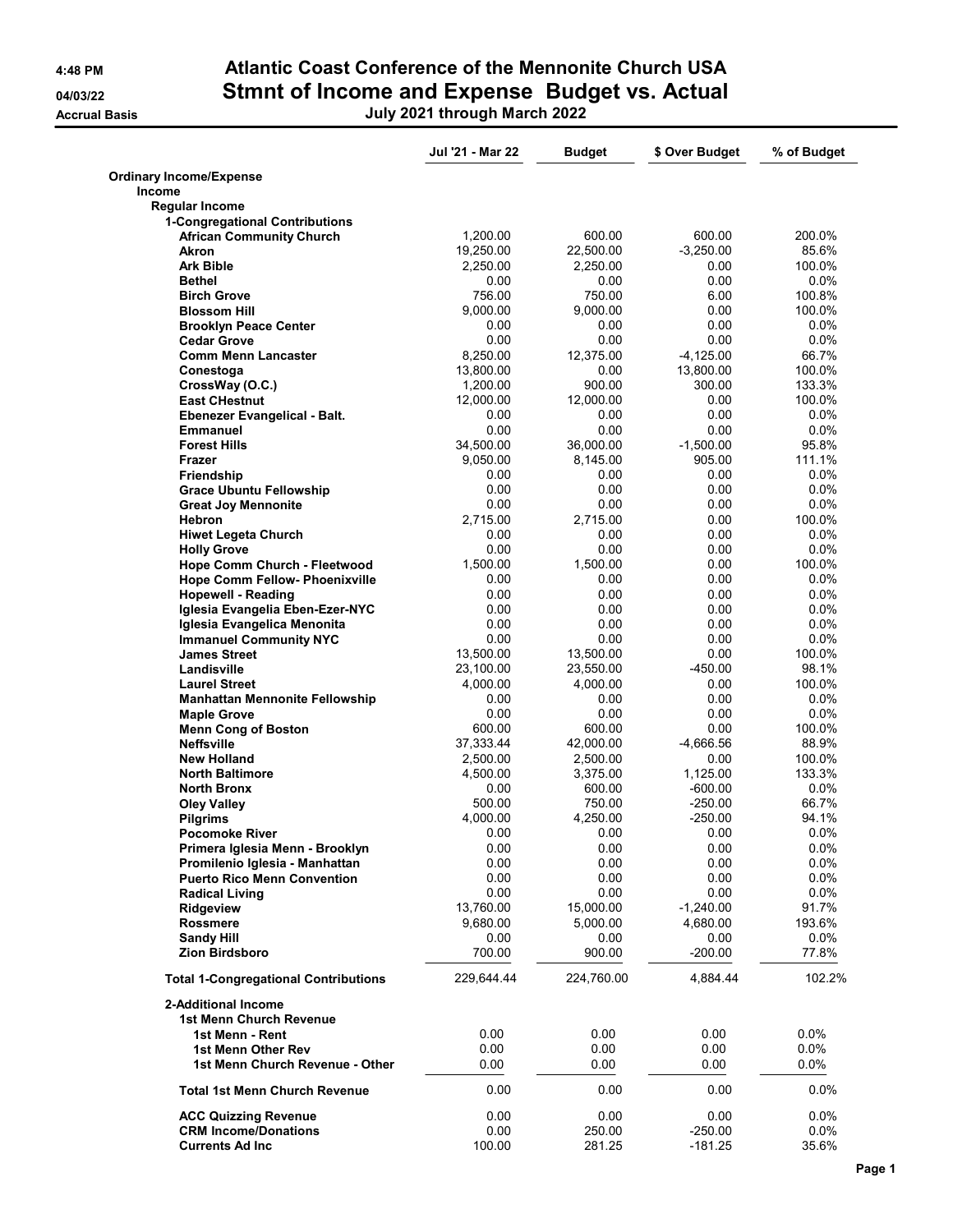**Accrual Basis** 

### 4:48 PM Atlantic Coast Conference of the Mennonite Church USA 04/03/22 Stmnt of Income and Expense Budget vs. Actual

|  | July 2021 through March 2022 |  |
|--|------------------------------|--|
|--|------------------------------|--|

|                                             | Jul '21 - Mar 22 | <b>Budget</b>  | \$ Over Budget        | % of Budget |
|---------------------------------------------|------------------|----------------|-----------------------|-------------|
| <b>Ordinary Income/Expense</b>              |                  |                |                       |             |
| Income                                      |                  |                |                       |             |
| <b>Regular Income</b>                       |                  |                |                       |             |
| 1-Congregational Contributions              |                  |                |                       |             |
| <b>African Community Church</b>             | 1,200.00         | 600.00         | 600.00<br>$-3,250.00$ | 200.0%      |
| Akron                                       | 19,250.00        | 22,500.00      |                       | 85.6%       |
| <b>Ark Bible</b>                            | 2,250.00         | 2,250.00       | 0.00                  | 100.0%      |
| <b>Bethel</b>                               | 0.00             | 0.00<br>750.00 | 0.00                  | $0.0\%$     |
| <b>Birch Grove</b>                          | 756.00           |                | 6.00                  | 100.8%      |
| <b>Blossom Hill</b>                         | 9,000.00         | 9,000.00       | 0.00                  | 100.0%      |
| <b>Brooklyn Peace Center</b>                | 0.00             | 0.00           | 0.00                  | $0.0\%$     |
| <b>Cedar Grove</b>                          | 0.00             | 0.00           | 0.00                  | 0.0%        |
| <b>Comm Menn Lancaster</b>                  | 8,250.00         | 12,375.00      | $-4,125.00$           | 66.7%       |
| Conestoga                                   | 13,800.00        | 0.00           | 13,800.00             | 100.0%      |
| CrossWay (O.C.)                             | 1,200.00         | 900.00         | 300.00                | 133.3%      |
| <b>East CHestnut</b>                        | 12,000.00        | 12,000.00      | 0.00                  | 100.0%      |
| Ebenezer Evangelical - Balt.                | 0.00             | 0.00           | 0.00                  | $0.0\%$     |
| <b>Emmanuel</b>                             | 0.00             | 0.00           | 0.00                  | $0.0\%$     |
| <b>Forest Hills</b>                         | 34,500.00        | 36,000.00      | $-1,500.00$           | 95.8%       |
| Frazer                                      | 9,050.00         | 8,145.00       | 905.00                | 111.1%      |
| Friendship                                  | 0.00             | 0.00           | 0.00                  | $0.0\%$     |
| <b>Grace Ubuntu Fellowship</b>              | 0.00             | 0.00           | 0.00                  | 0.0%        |
| <b>Great Joy Mennonite</b>                  | 0.00             | 0.00           | 0.00                  | $0.0\%$     |
| Hebron                                      | 2,715.00         | 2,715.00       | 0.00                  | 100.0%      |
| <b>Hiwet Legeta Church</b>                  | 0.00             | 0.00           | 0.00                  | $0.0\%$     |
| <b>Holly Grove</b>                          | 0.00             | 0.00           | 0.00                  | 0.0%        |
| Hope Comm Church - Fleetwood                | 1,500.00         | 1,500.00       | 0.00                  | 100.0%      |
| Hope Comm Fellow- Phoenixville              | 0.00             | 0.00           | 0.00                  | $0.0\%$     |
| <b>Hopewell - Reading</b>                   | 0.00             | 0.00           | 0.00                  | 0.0%        |
| Iglesia Evangelia Eben-Ezer-NYC             | 0.00             | 0.00           | 0.00                  | $0.0\%$     |
| Iglesia Evangelica Menonita                 | 0.00             | 0.00           | 0.00                  | $0.0\%$     |
| <b>Immanuel Community NYC</b>               | 0.00             | 0.00           | 0.00                  | 0.0%        |
| <b>James Street</b>                         | 13,500.00        | 13,500.00      | 0.00                  | 100.0%      |
| Landisville                                 | 23,100.00        | 23,550.00      | $-450.00$             | 98.1%       |
| <b>Laurel Street</b>                        | 4,000.00         | 4,000.00       | 0.00                  | 100.0%      |
| <b>Manhattan Mennonite Fellowship</b>       | 0.00             | 0.00           | 0.00                  | $0.0\%$     |
| <b>Maple Grove</b>                          | 0.00             | 0.00           | 0.00                  | 0.0%        |
| <b>Menn Cong of Boston</b>                  | 600.00           | 600.00         | 0.00                  | 100.0%      |
| <b>Neffsville</b>                           | 37,333.44        | 42,000.00      | -4,666.56             | 88.9%       |
| <b>New Holland</b>                          | 2,500.00         | 2,500.00       | 0.00                  | 100.0%      |
| <b>North Baltimore</b>                      | 4,500.00         | 3,375.00       | 1,125.00              | 133.3%      |
|                                             | 0.00             | 600.00         | $-600.00$             | 0.0%        |
| <b>North Bronx</b>                          |                  |                |                       |             |
| <b>Oley Valley</b>                          | 500.00           | 750.00         | $-250.00$             | 66.7%       |
| <b>Pilgrims</b>                             | 4,000.00         | 4,250.00       | $-250.00$             | 94.1%       |
| <b>Pocomoke River</b>                       | 0.00             | 0.00           | 0.00                  | 0.0%        |
| Primera Iglesia Menn - Brooklyn             | 0.00             | 0.00           | 0.00                  | 0.0%        |
| Promilenio Iglesia - Manhattan              | 0.00             | 0.00           | 0.00                  | 0.0%        |
| <b>Puerto Rico Menn Convention</b>          | 0.00             | 0.00           | 0.00                  | $0.0\%$     |
| <b>Radical Living</b>                       | 0.00             | 0.00           | 0.00                  | 0.0%        |
| Ridgeview                                   | 13,760.00        | 15,000.00      | $-1,240.00$           | 91.7%       |
| <b>Rossmere</b>                             | 9,680.00         | 5,000.00       | 4,680.00              | 193.6%      |
| <b>Sandy Hill</b>                           | 0.00             | 0.00           | 0.00                  | $0.0\%$     |
| Zion Birdsboro                              | 700.00           | 900.00         | $-200.00$             | 77.8%       |
| <b>Total 1-Congregational Contributions</b> | 229,644.44       | 224,760.00     | 4,884.44              | 102.2%      |
| 2-Additional Income                         |                  |                |                       |             |
| <b>1st Menn Church Revenue</b>              |                  |                |                       |             |
| 1st Menn - Rent                             | 0.00             | 0.00           | 0.00                  | $0.0\%$     |
| 1st Menn Other Rev                          | 0.00             | 0.00           | 0.00                  | 0.0%        |
| 1st Menn Church Revenue - Other             | 0.00             | 0.00           | 0.00                  | 0.0%        |
| <b>Total 1st Menn Church Revenue</b>        | 0.00             | 0.00           | 0.00                  | $0.0\%$     |
|                                             |                  |                |                       |             |
| <b>ACC Quizzing Revenue</b>                 | 0.00             | 0.00           | 0.00                  | $0.0\%$     |
| <b>CRM Income/Donations</b>                 | 0.00             | 250.00         | $-250.00$             | 0.0%        |
| <b>Currents Ad Inc</b>                      | 100.00           | 281.25         | $-181.25$             | 35.6%       |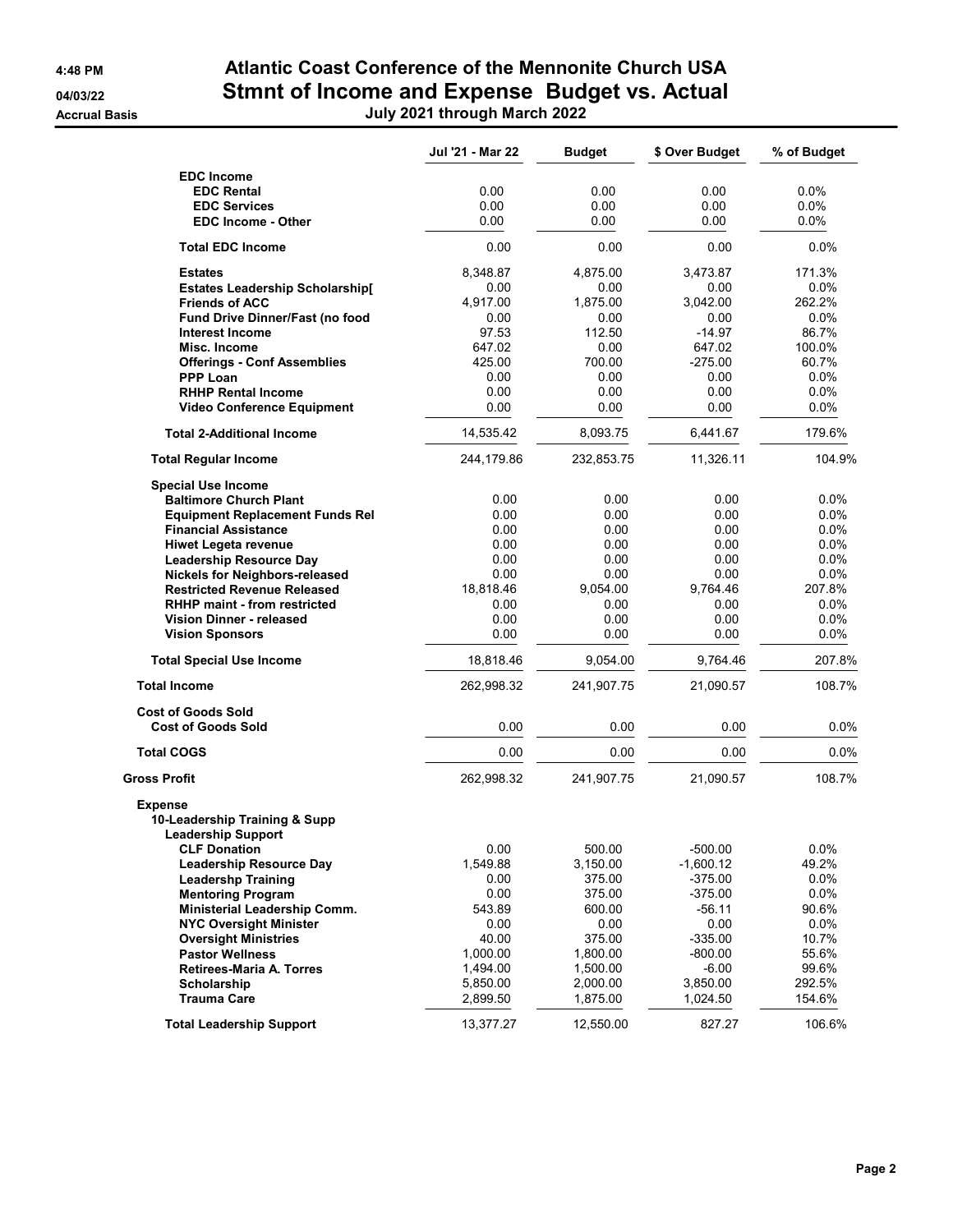#### 4:48 PM Atlantic Coast Conference of the Mennonite Church USA 04/03/22 Stmnt of Income and Expense Budget vs. Actual Accrual Basis July 2021 through March 2022

|  | uly 2021 through March 202 |  |  |
|--|----------------------------|--|--|
|--|----------------------------|--|--|

|                                                                       | Jul '21 - Mar 22 | <b>Budget</b> | \$ Over Budget | % of Budget |
|-----------------------------------------------------------------------|------------------|---------------|----------------|-------------|
| <b>EDC Income</b>                                                     |                  |               |                |             |
| <b>EDC Rental</b>                                                     | 0.00             | 0.00          | 0.00           | 0.0%        |
| <b>EDC Services</b>                                                   | 0.00             | 0.00          | 0.00           | 0.0%        |
| <b>EDC Income - Other</b>                                             | 0.00             | 0.00          | 0.00           | $0.0\%$     |
| <b>Total EDC Income</b>                                               | 0.00             | 0.00          | 0.00           | 0.0%        |
| <b>Estates</b>                                                        | 8,348.87         | 4,875.00      | 3,473.87       | 171.3%      |
| <b>Estates Leadership Scholarship[</b>                                | 0.00             | 0.00          | 0.00           | $0.0\%$     |
| <b>Friends of ACC</b>                                                 | 4,917.00         | 1,875.00      | 3,042.00       | 262.2%      |
| Fund Drive Dinner/Fast (no food                                       | 0.00             | 0.00          | 0.00           | 0.0%        |
| <b>Interest Income</b>                                                | 97.53            | 112.50        | $-14.97$       | 86.7%       |
| Misc. Income                                                          | 647.02           | 0.00          | 647.02         | 100.0%      |
| <b>Offerings - Conf Assemblies</b>                                    | 425.00           | 700.00        | $-275.00$      | 60.7%       |
| <b>PPP Loan</b>                                                       | 0.00             | 0.00          | 0.00           | 0.0%        |
| <b>RHHP Rental Income</b>                                             | 0.00             | 0.00          | 0.00           | $0.0\%$     |
| <b>Video Conference Equipment</b>                                     | 0.00             | 0.00          | 0.00           | $0.0\%$     |
| <b>Total 2-Additional Income</b>                                      | 14,535.42        | 8,093.75      | 6,441.67       | 179.6%      |
| <b>Total Regular Income</b>                                           | 244,179.86       | 232,853.75    | 11,326.11      | 104.9%      |
| <b>Special Use Income</b>                                             |                  |               |                |             |
| <b>Baltimore Church Plant</b>                                         | 0.00             | 0.00          | 0.00           | 0.0%        |
| <b>Equipment Replacement Funds Rel</b>                                | 0.00             | 0.00          | 0.00           | 0.0%        |
| <b>Financial Assistance</b>                                           | 0.00             | 0.00          | 0.00           | 0.0%        |
| <b>Hiwet Legeta revenue</b>                                           | 0.00             | 0.00          | 0.00           | 0.0%        |
| <b>Leadership Resource Day</b>                                        | 0.00             | 0.00          | 0.00           | 0.0%        |
| <b>Nickels for Neighbors-released</b>                                 | 0.00             | 0.00          | 0.00           | 0.0%        |
| <b>Restricted Revenue Released</b>                                    | 18,818.46        | 9,054.00      | 9,764.46       | 207.8%      |
| <b>RHHP maint - from restricted</b>                                   | 0.00             | 0.00          | 0.00           | $0.0\%$     |
| <b>Vision Dinner - released</b>                                       | 0.00             | 0.00          | 0.00           | 0.0%        |
| <b>Vision Sponsors</b>                                                | 0.00             | 0.00          | 0.00           | $0.0\%$     |
| <b>Total Special Use Income</b>                                       | 18,818.46        | 9,054.00      | 9,764.46       | 207.8%      |
| <b>Total Income</b>                                                   | 262,998.32       | 241,907.75    | 21,090.57      | 108.7%      |
| <b>Cost of Goods Sold</b>                                             |                  |               |                |             |
| <b>Cost of Goods Sold</b>                                             | 0.00             | 0.00          | 0.00           | 0.0%        |
| <b>Total COGS</b>                                                     | 0.00             | 0.00          | 0.00           | $0.0\%$     |
| Gross Profit                                                          | 262,998.32       | 241,907.75    | 21,090.57      | 108.7%      |
| Expense<br>10-Leadership Training & Supp<br><b>Leadership Support</b> |                  |               |                |             |
| <b>CLF Donation</b>                                                   | 0.00             | 500.00        | $-500.00$      | 0.0%        |
| <b>Leadership Resource Day</b>                                        | 1,549.88         | 3,150.00      | $-1,600.12$    | 49.2%       |
| <b>Leadershp Training</b>                                             | 0.00             | 375.00        | $-375.00$      | $0.0\%$     |
| <b>Mentoring Program</b>                                              | 0.00             | 375.00        | $-375.00$      | 0.0%        |
| Ministerial Leadership Comm.                                          | 543.89           | 600.00        | -56.11         | 90.6%       |
| <b>NYC Oversight Minister</b>                                         | 0.00             | 0.00          | 0.00           | 0.0%        |
| <b>Oversight Ministries</b>                                           | 40.00            | 375.00        | $-335.00$      | 10.7%       |
| <b>Pastor Wellness</b>                                                | 1,000.00         | 1,800.00      | $-800.00$      | 55.6%       |
| <b>Retirees-Maria A. Torres</b>                                       | 1,494.00         | 1,500.00      | -6.00          | 99.6%       |
| Scholarship                                                           | 5,850.00         | 2,000.00      | 3,850.00       | 292.5%      |
| <b>Trauma Care</b>                                                    | 2,899.50         | 1,875.00      | 1,024.50       | 154.6%      |
| <b>Total Leadership Support</b>                                       | 13,377.27        | 12,550.00     | 827.27         | 106.6%      |
|                                                                       |                  |               |                |             |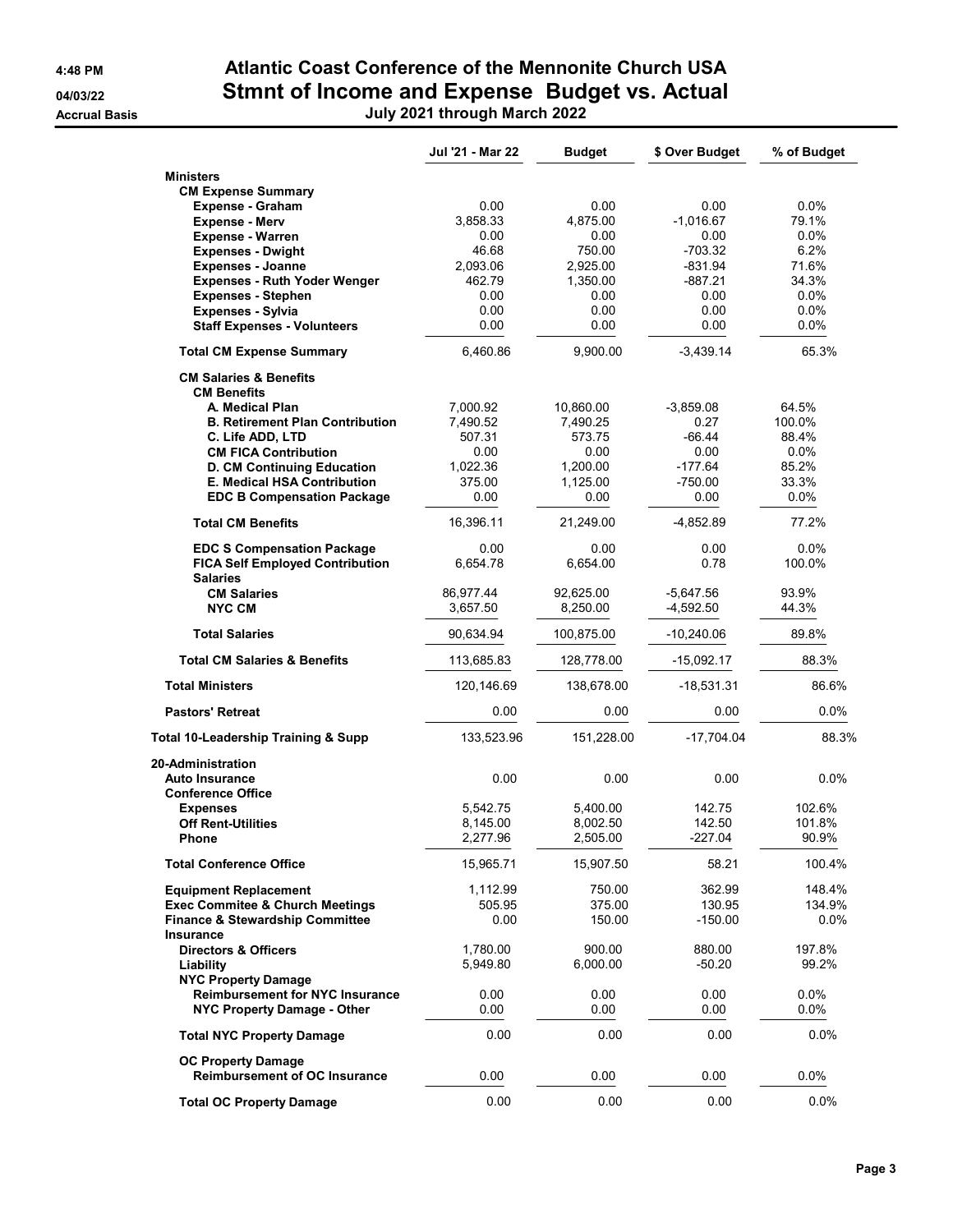**Accrual Basis** 

## 4:48 PM **Atlantic Coast Conference of the Mennonite Church USA** 04/03/22 Stmnt of Income and Expense Budget vs. Actual

| July 2021 through March 2022                                           |                  |               |                |             |
|------------------------------------------------------------------------|------------------|---------------|----------------|-------------|
|                                                                        | Jul '21 - Mar 22 | <b>Budget</b> | \$ Over Budget | % of Budget |
| <b>Ministers</b>                                                       |                  |               |                |             |
| <b>CM Expense Summary</b>                                              |                  |               |                |             |
| <b>Expense - Graham</b>                                                | 0.00             | 0.00          | 0.00           | 0.0%        |
| <b>Expense - Merv</b>                                                  | 3,858.33         | 4,875.00      | $-1,016.67$    | 79.1%       |
| <b>Expense - Warren</b>                                                | 0.00             | 0.00          | 0.00           | $0.0\%$     |
| <b>Expenses - Dwight</b>                                               | 46.68            | 750.00        | $-703.32$      | 6.2%        |
| <b>Expenses - Joanne</b>                                               | 2,093.06         | 2,925.00      | $-831.94$      | 71.6%       |
| <b>Expenses - Ruth Yoder Wenger</b>                                    | 462.79           | 1,350.00      | -887.21        | 34.3%       |
| <b>Expenses - Stephen</b>                                              | 0.00             | 0.00          | 0.00           | 0.0%        |
| <b>Expenses - Sylvia</b>                                               | 0.00             | 0.00          | 0.00           | 0.0%        |
| <b>Staff Expenses - Volunteers</b>                                     | 0.00             | 0.00          | 0.00           | $0.0\%$     |
| <b>Total CM Expense Summary</b>                                        | 6,460.86         | 9,900.00      | $-3,439.14$    | 65.3%       |
| <b>CM Salaries &amp; Benefits</b><br><b>CM Benefits</b>                |                  |               |                |             |
| A. Medical Plan                                                        | 7,000.92         | 10,860.00     | $-3,859.08$    | 64.5%       |
| <b>B. Retirement Plan Contribution</b>                                 | 7,490.52         | 7,490.25      | 0.27           | 100.0%      |
| C. Life ADD, LTD                                                       | 507.31           | 573.75        | $-66.44$       | 88.4%       |
| <b>CM FICA Contribution</b>                                            | 0.00             | 0.00          | 0.00           | $0.0\%$     |
| D. CM Continuing Education                                             | 1,022.36         | 1,200.00      | $-177.64$      | 85.2%       |
| <b>E. Medical HSA Contribution</b>                                     | 375.00           | 1.125.00      | $-750.00$      | 33.3%       |
| <b>EDC B Compensation Package</b>                                      | 0.00             | 0.00          | 0.00           | $0.0\%$     |
| <b>Total CM Benefits</b>                                               | 16,396.11        | 21,249.00     | $-4,852.89$    | 77.2%       |
| <b>EDC S Compensation Package</b>                                      | 0.00             | 0.00          | 0.00           | 0.0%        |
| <b>FICA Self Employed Contribution</b><br><b>Salaries</b>              | 6,654.78         | 6,654.00      | 0.78           | 100.0%      |
| <b>CM Salaries</b>                                                     | 86,977.44        | 92,625.00     | $-5,647.56$    | 93.9%       |
| <b>NYC CM</b>                                                          | 3,657.50         | 8,250.00      | $-4,592.50$    | 44.3%       |
|                                                                        |                  |               |                |             |
| <b>Total Salaries</b>                                                  | 90,634.94        | 100,875.00    | $-10,240.06$   | 89.8%       |
| <b>Total CM Salaries &amp; Benefits</b>                                | 113,685.83       | 128,778.00    | -15,092.17     | 88.3%       |
| <b>Total Ministers</b>                                                 | 120,146.69       | 138,678.00    | $-18,531.31$   | 86.6%       |
| <b>Pastors' Retreat</b>                                                | 0.00             | 0.00          | 0.00           | $0.0\%$     |
| <b>Total 10-Leadership Training &amp; Supp</b>                         | 133,523.96       | 151,228.00    | $-17,704.04$   | 88.3%       |
| 20-Administration<br><b>Auto Insurance</b><br><b>Conference Office</b> | 0.00             | 0.00          | 0.00           | $0.0\%$     |
| <b>Expenses</b>                                                        | 5,542.75         | 5.400.00      | 142.75         | 102.6%      |

Off Rent-Utilities 8,145.00 8,002.50 142.50 101.8% Phone 2,277.96 2,505.00 -227.04 90.9% **Total Conference Office** 15,965.71 15,907.50 58.21 100.4%

Equipment Replacement 1,112.99 750.00 362.99 148.4%<br>Exec Commitee & Church Meetings 605.95 375.00 130.95 134.9%

Finance & Stewardship Committee  $0.00$  150.00  $150.00$  -150.00 0.0%

**Directors & Officers 1,780.00** 900.00 880.00 197.8%<br>**Liability 1,780.00** 900.00 880.00 99.2% Liability 5,949.80 6,000.00 -50.20 99.2%

Reimbursement for NYC Insurance  $0.00$  0.00 0.00 0.00 0.0% NYC Property Damage - Other 0.00 0.00 0.00 0.00 0.00 0.0% Total NYC Property Damage  $0.00$  0.00 0.00 0.00 0.0%

Reimbursement of OC Insurance  $0.00$  0.00 0.00 0.00 0.0% Total OC Property Damage  $0.00$  0.00 0.00 0.00 0.0%

Exec Commitee & Church Meetings 505.95

Insurance

NYC Property Damage

OC Property Damage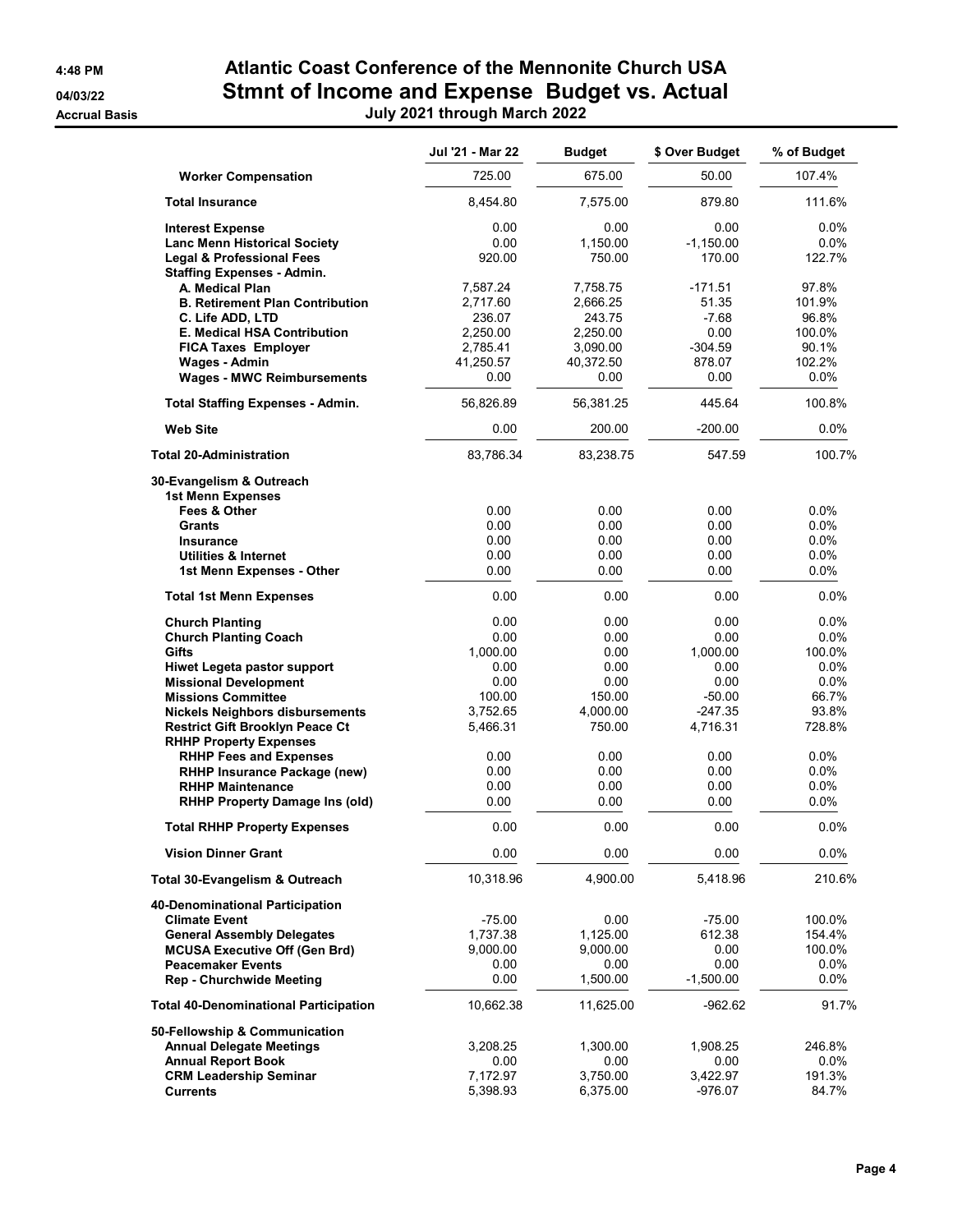**Accrual Basis** 

# 4:48 PM Atlantic Coast Conference of the Mennonite Church USA 04/03/22 **Stmnt of Income and Expense Budget vs. Actual**<br> **Duly 2021 through March 2022**

| July 2021 through March 202 |  |  |  |
|-----------------------------|--|--|--|
|-----------------------------|--|--|--|

|                                                         | Jul '21 - Mar 22 | <b>Budget</b> | \$ Over Budget | % of Budget     |
|---------------------------------------------------------|------------------|---------------|----------------|-----------------|
| <b>Worker Compensation</b>                              | 725.00           | 675.00        | 50.00          | 107.4%          |
| <b>Total Insurance</b>                                  | 8,454.80         | 7,575.00      | 879.80         | 111.6%          |
| <b>Interest Expense</b>                                 | 0.00             | 0.00          | 0.00           | $0.0\%$         |
| <b>Lanc Menn Historical Society</b>                     | 0.00             | 1.150.00      | $-1,150.00$    | 0.0%            |
| <b>Legal &amp; Professional Fees</b>                    | 920.00           | 750.00        | 170.00         | 122.7%          |
| <b>Staffing Expenses - Admin.</b>                       |                  |               |                |                 |
| A. Medical Plan                                         | 7,587.24         | 7,758.75      | $-171.51$      | 97.8%           |
| <b>B. Retirement Plan Contribution</b>                  | 2,717.60         | 2,666.25      | 51.35          | 101.9%          |
| C. Life ADD, LTD                                        | 236.07           | 243.75        | $-7.68$        | 96.8%           |
| E. Medical HSA Contribution                             | 2,250.00         | 2,250.00      | 0.00           | 100.0%          |
| <b>FICA Taxes Employer</b>                              | 2,785.41         | 3,090.00      | $-304.59$      | 90.1%           |
| Wages - Admin                                           | 41,250.57        | 40,372.50     | 878.07         | 102.2%          |
| <b>Wages - MWC Reimbursements</b>                       | 0.00             | 0.00          | 0.00           | 0.0%            |
| <b>Total Staffing Expenses - Admin.</b>                 | 56,826.89        | 56,381.25     | 445.64         | 100.8%          |
| <b>Web Site</b>                                         | 0.00             | 200.00        | $-200.00$      | 0.0%            |
| <b>Total 20-Administration</b>                          | 83,786.34        | 83,238.75     | 547.59         | 100.7%          |
|                                                         |                  |               |                |                 |
| 30-Evangelism & Outreach<br><b>1st Menn Expenses</b>    |                  |               |                |                 |
| Fees & Other                                            | 0.00             | 0.00          | 0.00           | $0.0\%$         |
| <b>Grants</b>                                           | 0.00             | 0.00          | 0.00           | 0.0%            |
| <b>Insurance</b>                                        | 0.00             | 0.00          | 0.00           | 0.0%            |
| <b>Utilities &amp; Internet</b>                         | 0.00             | 0.00          | 0.00           | 0.0%            |
| 1st Menn Expenses - Other                               | 0.00             | 0.00          | 0.00           | 0.0%            |
| <b>Total 1st Menn Expenses</b>                          | 0.00             | 0.00          | 0.00           | 0.0%            |
| <b>Church Planting</b>                                  | 0.00             | 0.00          | 0.00           | $0.0\%$         |
| <b>Church Planting Coach</b>                            | 0.00             | 0.00          | 0.00           | 0.0%            |
| <b>Gifts</b>                                            | 1,000.00         | 0.00          | 1,000.00       | 100.0%          |
| <b>Hiwet Legeta pastor support</b>                      | 0.00             | 0.00          | 0.00           | 0.0%            |
| <b>Missional Development</b>                            | 0.00             | 0.00          | 0.00           | $0.0\%$         |
| <b>Missions Committee</b>                               | 100.00           | 150.00        | $-50.00$       | 66.7%           |
| <b>Nickels Neighbors disbursements</b>                  | 3,752.65         | 4,000.00      | $-247.35$      | 93.8%           |
| <b>Restrict Gift Brooklyn Peace Ct</b>                  | 5,466.31         | 750.00        | 4,716.31       | 728.8%          |
| <b>RHHP Property Expenses</b>                           |                  |               |                |                 |
| <b>RHHP Fees and Expenses</b>                           | 0.00             | 0.00<br>0.00  | 0.00           | $0.0\%$<br>0.0% |
| RHHP Insurance Package (new)<br><b>RHHP Maintenance</b> | 0.00<br>0.00     |               | 0.00<br>0.00   |                 |
|                                                         | 0.00             | 0.00<br>0.00  | 0.00           | 0.0%<br>0.0%    |
| <b>RHHP Property Damage Ins (old)</b>                   |                  |               |                |                 |
| <b>Total RHHP Property Expenses</b>                     | 0.00             | 0.00          | 0.00           | 0.0%            |
| <b>Vision Dinner Grant</b>                              | 0.00             | 0.00          | 0.00           | 0.0%            |
| <b>Total 30-Evangelism &amp; Outreach</b>               | 10,318.96        | 4,900.00      | 5,418.96       | 210.6%          |
| 40-Denominational Participation                         |                  |               |                |                 |
| <b>Climate Event</b>                                    | $-75.00$         | 0.00          | $-75.00$       | 100.0%          |
| <b>General Assembly Delegates</b>                       | 1,737.38         | 1,125.00      | 612.38         | 154.4%          |
| <b>MCUSA Executive Off (Gen Brd)</b>                    | 9,000.00         | 9,000.00      | 0.00           | 100.0%          |
| <b>Peacemaker Events</b>                                | 0.00             | 0.00          | 0.00           | 0.0%            |
| <b>Rep - Churchwide Meeting</b>                         | 0.00             | 1,500.00      | $-1,500.00$    | 0.0%            |
| <b>Total 40-Denominational Participation</b>            | 10,662.38        | 11,625.00     | $-962.62$      | 91.7%           |
| 50-Fellowship & Communication                           |                  |               |                |                 |
| <b>Annual Delegate Meetings</b>                         | 3,208.25         | 1,300.00      | 1,908.25       | 246.8%          |
| <b>Annual Report Book</b>                               | 0.00             | 0.00          | 0.00           | $0.0\%$         |
| <b>CRM Leadership Seminar</b>                           | 7,172.97         | 3,750.00      | 3,422.97       | 191.3%          |
| <b>Currents</b>                                         | 5,398.93         | 6,375.00      | $-976.07$      | 84.7%           |